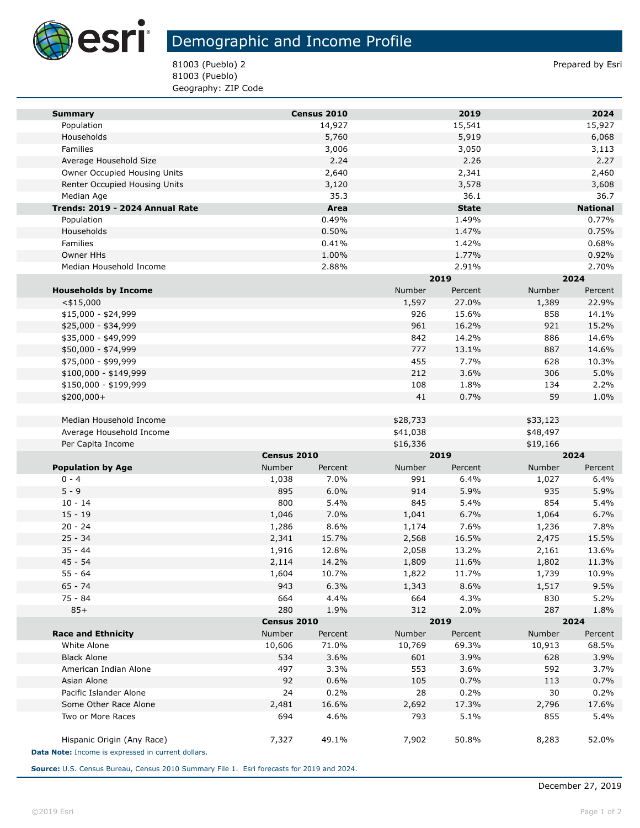

**Tari** 

## Demographic and Income Profile

81003 (Pueblo) 2 Prepared by Esri 81003 (Pueblo) Geography: ZIP Code

| <b>Summary</b>                                                                   |               | Census 2010 |          | 2019         |          | 2024            |  |
|----------------------------------------------------------------------------------|---------------|-------------|----------|--------------|----------|-----------------|--|
| Population                                                                       |               | 14,927      |          | 15,541       |          | 15,927          |  |
| Households                                                                       |               | 5,760       |          | 5,919        |          | 6,068           |  |
| Families                                                                         |               | 3,006       |          | 3,050        |          | 3,113           |  |
| Average Household Size                                                           |               | 2.24        |          | 2.26         |          | 2.27            |  |
| Owner Occupied Housing Units                                                     |               | 2,640       |          | 2,341        |          | 2,460           |  |
| Renter Occupied Housing Units                                                    |               | 3,120       |          | 3,578        |          | 3,608           |  |
| Median Age                                                                       |               | 35.3        |          | 36.1         |          | 36.7            |  |
| Trends: 2019 - 2024 Annual Rate                                                  |               | Area        |          | <b>State</b> |          | <b>National</b> |  |
| Population                                                                       |               | 0.49%       |          | 1.49%        |          | 0.77%           |  |
| Households                                                                       |               | 0.50%       |          | 1.47%        |          | 0.75%           |  |
| Families                                                                         |               | 0.41%       |          | 1.42%        |          | 0.68%           |  |
| <b>Owner HHs</b>                                                                 |               | 1.00%       |          | 1.77%        |          | 0.92%           |  |
| Median Household Income                                                          |               | 2.88%       |          | 2.91%        |          | 2.70%           |  |
|                                                                                  |               |             |          | 2019         |          | 2024            |  |
| <b>Households by Income</b>                                                      |               |             | Number   | Percent      | Number   | Percent         |  |
| $<$ \$15,000                                                                     |               |             | 1,597    | 27.0%        | 1,389    | 22.9%           |  |
| \$15,000 - \$24,999                                                              |               |             | 926      | 15.6%        | 858      | 14.1%           |  |
| \$25,000 - \$34,999                                                              |               |             | 961      | 16.2%        | 921      | 15.2%           |  |
| \$35,000 - \$49,999                                                              |               |             | 842      | 14.2%        | 886      | 14.6%           |  |
| \$50,000 - \$74,999                                                              |               |             | 777      | 13.1%        | 887      | 14.6%           |  |
| \$75,000 - \$99,999                                                              |               |             | 455      | 7.7%         | 628      | 10.3%           |  |
| \$100,000 - \$149,999                                                            |               |             | 212      | 3.6%         | 306      | 5.0%            |  |
| \$150,000 - \$199,999                                                            |               |             | 108      | 1.8%         | 134      | 2.2%            |  |
| \$200,000+                                                                       |               |             | 41       | 0.7%         | 59       | 1.0%            |  |
|                                                                                  |               |             |          |              |          |                 |  |
| Median Household Income                                                          |               |             | \$28,733 |              | \$33,123 |                 |  |
| Average Household Income                                                         |               |             | \$41,038 |              | \$48,497 |                 |  |
| Per Capita Income                                                                |               |             | \$16,336 |              | \$19,166 |                 |  |
|                                                                                  | Census 2010   |             | 2019     |              | 2024     |                 |  |
| <b>Population by Age</b>                                                         | <b>Number</b> | Percent     | Number   | Percent      | Number   | Percent         |  |
| $0 - 4$                                                                          | 1,038         | 7.0%        | 991      | 6.4%         | 1,027    | 6.4%            |  |
| $5 - 9$                                                                          | 895           | 6.0%        | 914      | 5.9%         | 935      | 5.9%            |  |
| $10 - 14$                                                                        | 800           | 5.4%        | 845      | 5.4%         | 854      | 5.4%            |  |
| $15 - 19$                                                                        | 1,046         | 7.0%        | 1,041    | 6.7%         | 1,064    | 6.7%            |  |
| $20 - 24$                                                                        | 1,286         | 8.6%        | 1,174    | 7.6%         | 1,236    | 7.8%            |  |
| $25 - 34$                                                                        | 2,341         | 15.7%       | 2,568    | 16.5%        | 2,475    | 15.5%           |  |
| $35 - 44$                                                                        | 1,916         | 12.8%       | 2,058    | 13.2%        | 2,161    | 13.6%           |  |
| $45 - 54$                                                                        | 2,114         | 14.2%       | 1,809    | 11.6%        | 1,802    | 11.3%           |  |
| $55 - 64$                                                                        | 1,604         | 10.7%       | 1,822    | 11.7%        | 1,739    | 10.9%           |  |
| $65 - 74$                                                                        | 943           | 6.3%        | 1,343    | 8.6%         | 1,517    | 9.5%            |  |
| 75 - 84                                                                          | 664           | 4.4%        | 664      | 4.3%         | 830      | 5.2%            |  |
| $85+$                                                                            | 280           | 1.9%        | 312      | 2.0%         | 287      | 1.8%            |  |
|                                                                                  | Census 2010   |             |          | 2019         |          | 2024            |  |
| <b>Race and Ethnicity</b>                                                        | Number        | Percent     | Number   | Percent      | Number   | Percent         |  |
| White Alone                                                                      | 10,606        | 71.0%       | 10,769   | 69.3%        | 10,913   | 68.5%           |  |
| <b>Black Alone</b>                                                               | 534           | 3.6%        | 601      | 3.9%         | 628      | 3.9%            |  |
| American Indian Alone                                                            | 497           | 3.3%        | 553      | 3.6%         | 592      | 3.7%            |  |
| Asian Alone                                                                      | 92            | 0.6%        | 105      | 0.7%         | 113      | 0.7%            |  |
| Pacific Islander Alone                                                           | 24            | 0.2%        | 28       | 0.2%         | 30       | 0.2%            |  |
| Some Other Race Alone                                                            | 2,481         | 16.6%       | 2,692    | 17.3%        | 2,796    | 17.6%           |  |
| Two or More Races                                                                | 694           | 4.6%        | 793      | 5.1%         | 855      | 5.4%            |  |
| Hispanic Origin (Any Race)<br>Data Note: Income is expressed in current dollars. | 7,327         | 49.1%       | 7,902    | 50.8%        | 8,283    | 52.0%           |  |

**Source:** U.S. Census Bureau, Census 2010 Summary File 1. Esri forecasts for 2019 and 2024.